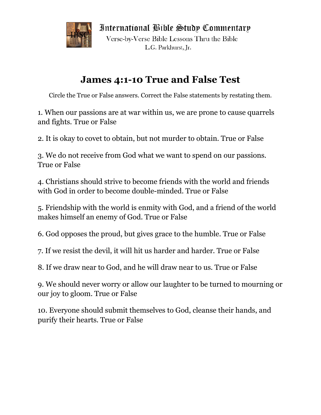

International Bible Study Commentary

Verse-by-Verse Bible Lessons Thru the Bible L.G. Parkhurst, Jr.

## **James 4:1-10 True and False Test**

Circle the True or False answers. Correct the False statements by restating them.

1. When our passions are at war within us, we are prone to cause quarrels and fights. True or False

2. It is okay to covet to obtain, but not murder to obtain. True or False

3. We do not receive from God what we want to spend on our passions. True or False

4. Christians should strive to become friends with the world and friends with God in order to become double-minded. True or False

5. Friendship with the world is enmity with God, and a friend of the world makes himself an enemy of God. True or False

6. God opposes the proud, but gives grace to the humble. True or False

7. If we resist the devil, it will hit us harder and harder. True or False

8. If we draw near to God, and he will draw near to us. True or False

9. We should never worry or allow our laughter to be turned to mourning or our joy to gloom. True or False

10. Everyone should submit themselves to God, cleanse their hands, and purify their hearts. True or False